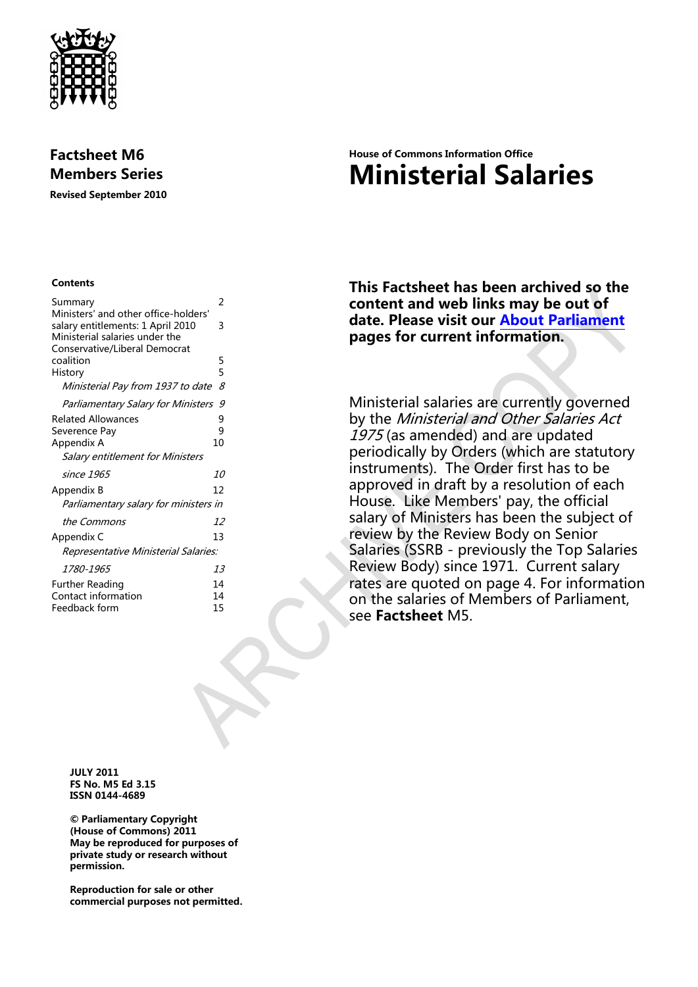

## **Factsheet M6 Members Series**

**Revised September 2010**

#### **Contents**

| Summary                                                                                                     | 2      |
|-------------------------------------------------------------------------------------------------------------|--------|
| Ministers' and other office-holders'<br>salary entitlements: 1 April 2010<br>Ministerial salaries under the | 3      |
| Conservative/Liberal Democrat                                                                               |        |
| coalition<br>History                                                                                        | 5<br>5 |
| Ministerial Pay from 1937 to date                                                                           | 8      |
| Parliamentary Salary for Ministers                                                                          | 9      |
| <b>Related Allowances</b>                                                                                   | 9      |
| Severence Pay                                                                                               | 9      |
| Appendix A                                                                                                  | 10     |
| Salary entitlement for Ministers                                                                            |        |
| since 1965                                                                                                  | 10     |
| Appendix B                                                                                                  | 12     |
| Parliamentary salary for ministers in                                                                       |        |
| the Commons                                                                                                 | 12     |
| Appendix C                                                                                                  | 13     |
| Representative Ministerial Salaries:                                                                        |        |
| 1780-1965                                                                                                   | 13     |
| Further Reading                                                                                             | 14     |
| Contact information                                                                                         | 14     |
| Feedback form                                                                                               | 15     |
|                                                                                                             |        |

# **House of Commons Information Office Ministerial Salaries**

**This Factsheet has been archived so the content and web links may be out of date. Please visit our [About Parliament](http://www.parliament.uk/about/) pages for current information.**

Ministerial salaries are currently governed by the Ministerial and Other Salaries Act 1975 (as amended) and are updated periodically by Orders (which are statutory instruments). The Order first has to be approved in draft by a resolution of each House. Like Members' pay, the official salary of Ministers has been the subject of review by the Review Body on Senior Salaries (SSRB - previously the Top Salaries Review Body) since 1971. Current salary rates are quoted on page 4. For information on the salaries of Members of Parliament, see **Factsheet** M5.

**JULY 2011 FS No. M5 Ed 3.15 ISSN 0144-4689**

**© Parliamentary Copyright (House of Commons) 2011 May be reproduced for purposes of private study or research without permission.** 

**Reproduction for sale or other commercial purposes not permitted.**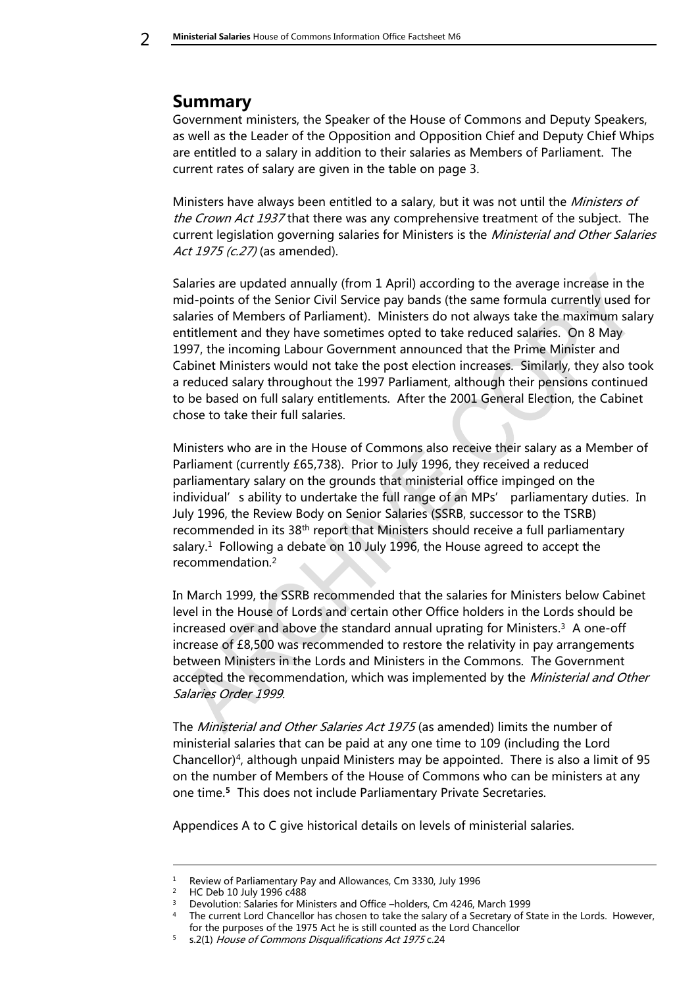# <span id="page-1-0"></span>**Summary**

Government ministers, the Speaker of the House of Commons and Deputy Speakers, as well as the Leader of the Opposition and Opposition Chief and Deputy Chief Whips are entitled to a salary in addition to their salaries as Members of Parliament. The current rates of salary are given in the table on page 3.

Ministers have always been entitled to a salary, but it was not until the *Ministers of* the Crown Act 1937 that there was any comprehensive treatment of the subject. The current legislation governing salaries for Ministers is the *Ministerial and Other Salaries* Act 1975 (c.27) (as amended).

Salaries are updated annually (from 1 April) according to the average increase in the mid-points of the Senior Civil Service pay bands (the same formula currently used for salaries of Members of Parliament). Ministers do not always take the maximum salary entitlement and they have sometimes opted to take reduced salaries. On 8 May 1997, the incoming Labour Government announced that the Prime Minister and Cabinet Ministers would not take the post election increases. Similarly, they also took a reduced salary throughout the 1997 Parliament, although their pensions continued to be based on full salary entitlements. After the 2001 General Election, the Cabinet chose to take their full salaries.

Ministers who are in the House of Commons also receive their salary as a Member of Parliament (currently £65,738). Prior to July 1996, they received a reduced parliamentary salary on the grounds that ministerial office impinged on the individual's ability to undertake the full range of an MPs' parliamentary duties. In July 1996, the Review Body on Senior Salaries (SSRB, successor to the TSRB) recommended in its 38th report that Ministers should receive a full parliamentary salary.<sup>1</sup> Following a debate on 10 July 1996, the House agreed to accept the recommendation.<sup>2</sup>

In March 1999, the SSRB recommended that the salaries for Ministers below Cabinet level in the House of Lords and certain other Office holders in the Lords should be increased over and above the standard annual uprating for Ministers. <sup>3</sup> A one-off increase of £8,500 was recommended to restore the relativity in pay arrangements between Ministers in the Lords and Ministers in the Commons. The Government accepted the recommendation, which was implemented by the *Ministerial and Other* Salaries Order 1999.

The *Ministerial and Other Salaries Act 1975* (as amended) limits the number of ministerial salaries that can be paid at any one time to 109 (including the Lord Chancellor)<sup>4</sup> , although unpaid Ministers may be appointed. There is also a limit of 95 on the number of Members of the House of Commons who can be ministers at any one time.**<sup>5</sup>** This does not include Parliamentary Private Secretaries.

Appendices A to C give historical details on levels of ministerial salaries.

1

<sup>1</sup> Review of Parliamentary Pay and Allowances, Cm 3330, July 1996

<sup>&</sup>lt;sup>2</sup> HC Deb 10 July 1996 c488

<sup>&</sup>lt;sup>3</sup> Devolution: Salaries for Ministers and Office –holders, Cm 4246, March 1999

<sup>&</sup>lt;sup>4</sup> The current Lord Chancellor has chosen to take the salary of a Secretary of State in the Lords. However,

for the purposes of the 1975 Act he is still counted as the Lord Chancellor

<sup>5</sup> s.2(1) House of Commons Disqualifications Act 1975 c.24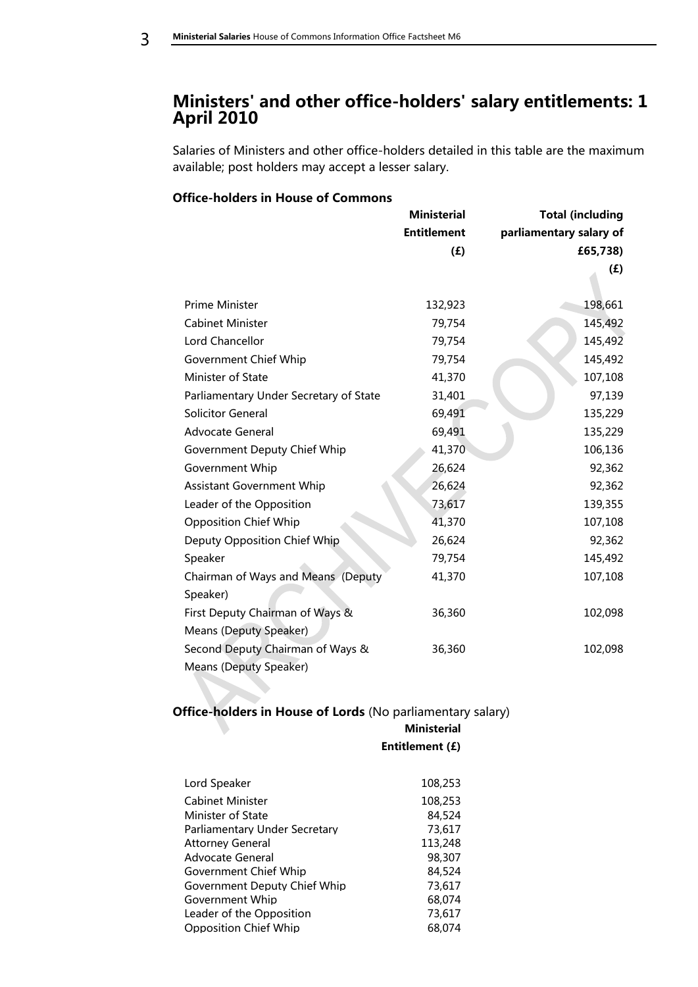# <span id="page-2-0"></span>**Ministers' and other office-holders' salary entitlements: 1 April 2010**

Salaries of Ministers and other office-holders detailed in this table are the maximum available; post holders may accept a lesser salary.

#### **Office-holders in House of Commons**

|                                        | <b>Ministerial</b> | <b>Total (including</b> |
|----------------------------------------|--------------------|-------------------------|
|                                        | <b>Entitlement</b> | parliamentary salary of |
|                                        | (E)                | £65,738)                |
|                                        |                    | (f)                     |
|                                        |                    |                         |
| Prime Minister                         | 132,923            | 198,661                 |
| <b>Cabinet Minister</b>                | 79,754             | 145,492                 |
| Lord Chancellor                        | 79,754             | 145,492                 |
| Government Chief Whip                  | 79,754             | 145,492                 |
| Minister of State                      | 41,370             | 107,108                 |
| Parliamentary Under Secretary of State | 31,401             | 97,139                  |
| <b>Solicitor General</b>               | 69,491             | 135,229                 |
| <b>Advocate General</b>                | 69,491             | 135,229                 |
| Government Deputy Chief Whip           | 41,370             | 106,136                 |
| Government Whip                        | 26,624             | 92,362                  |
| <b>Assistant Government Whip</b>       | 26,624             | 92,362                  |
| Leader of the Opposition               | 73,617             | 139,355                 |
| <b>Opposition Chief Whip</b>           | 41,370             | 107,108                 |
| Deputy Opposition Chief Whip           | 26,624             | 92,362                  |
| Speaker                                | 79,754             | 145,492                 |
| Chairman of Ways and Means (Deputy     | 41,370             | 107,108                 |
| Speaker)                               |                    |                         |
| First Deputy Chairman of Ways &        | 36,360             | 102,098                 |
| Means (Deputy Speaker)                 |                    |                         |
| Second Deputy Chairman of Ways &       | 36,360             | 102,098                 |
| <b>Means (Deputy Speaker)</b>          |                    |                         |

## **Office-holders in House of Lords** (No parliamentary salary)

#### **Ministerial Entitlement (£)**

| Lord Speaker                  | 108,253 |
|-------------------------------|---------|
| Cabinet Minister              | 108,253 |
| Minister of State             | 84,524  |
| Parliamentary Under Secretary | 73.617  |
| <b>Attorney General</b>       | 113,248 |
| Advocate General              | 98,307  |
| Government Chief Whip         | 84,524  |
| Government Deputy Chief Whip  | 73.617  |
| Government Whip               | 68,074  |
| Leader of the Opposition      | 73,617  |
| <b>Opposition Chief Whip</b>  | 68,074  |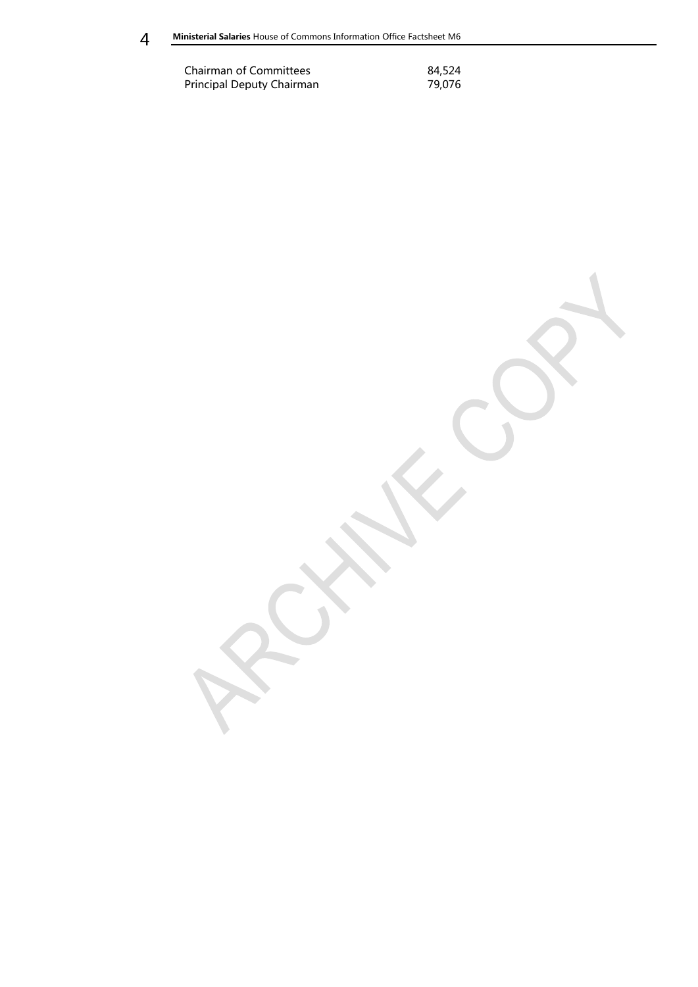Chairman of Committees 84,524<br>Principal Deputy Chairman 79,076 Principal Deputy Chairman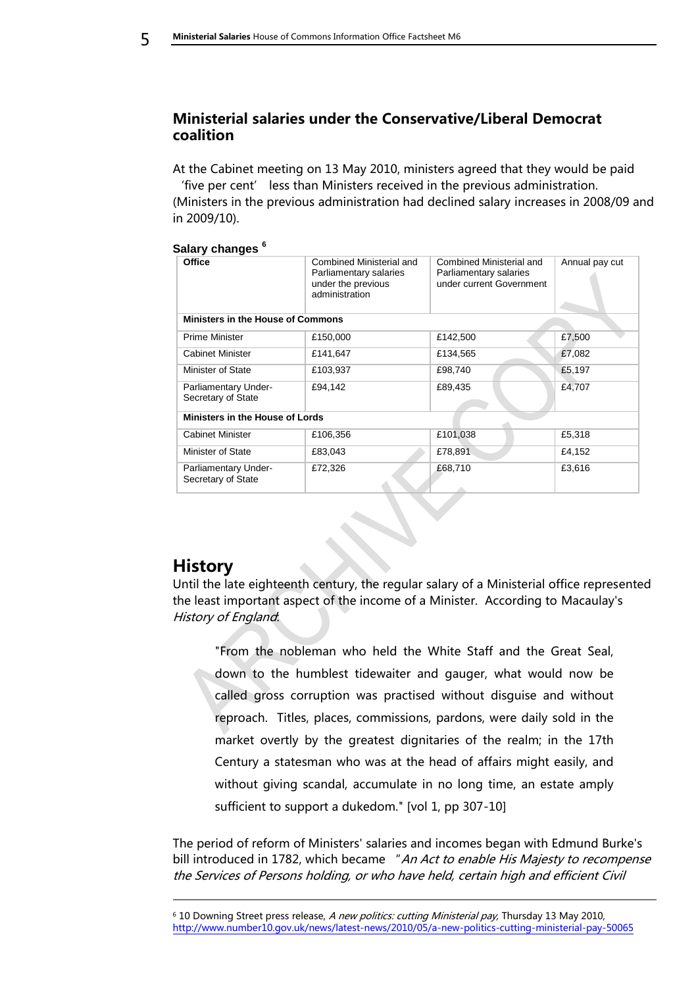## <span id="page-4-0"></span>**Ministerial salaries under the Conservative/Liberal Democrat coalition**

At the Cabinet meeting on 13 May 2010, ministers agreed that they would be paid 'five per cent' less than Ministers received in the previous administration. (Ministers in the previous administration had declined salary increases in 2008/09 and in 2009/10).

| salary changes<br><b>Office</b>            | Combined Ministerial and<br>Parliamentary salaries<br>under the previous<br>administration | Combined Ministerial and<br>Parliamentary salaries<br>under current Government | Annual pay cut |
|--------------------------------------------|--------------------------------------------------------------------------------------------|--------------------------------------------------------------------------------|----------------|
| <b>Ministers in the House of Commons</b>   |                                                                                            |                                                                                |                |
| <b>Prime Minister</b>                      | £150,000                                                                                   | £142,500                                                                       | £7,500         |
| <b>Cabinet Minister</b>                    | £141,647                                                                                   | £134,565                                                                       | £7,082         |
| Minister of State                          | £103,937                                                                                   | £98,740                                                                        | £5,197         |
| Parliamentary Under-<br>Secretary of State | £94,142                                                                                    | £89,435                                                                        | £4,707         |
| Ministers in the House of Lords            |                                                                                            |                                                                                |                |
| <b>Cabinet Minister</b>                    | £106,356                                                                                   | £101,038                                                                       | £5,318         |
| Minister of State                          | £83,043                                                                                    | £78,891                                                                        | £4,152         |
| Parliamentary Under-<br>Secretary of State | £72,326                                                                                    | £68,710                                                                        | £3,616         |

## **Salary changes <sup>6</sup>**

## <span id="page-4-1"></span>**History**

1

Until the late eighteenth century, the regular salary of a Ministerial office represented the least important aspect of the income of a Minister. According to Macaulay's History of England:

"From the nobleman who held the White Staff and the Great Seal, down to the humblest tidewaiter and gauger, what would now be called gross corruption was practised without disguise and without reproach. Titles, places, commissions, pardons, were daily sold in the market overtly by the greatest dignitaries of the realm; in the 17th Century a statesman who was at the head of affairs might easily, and without giving scandal, accumulate in no long time, an estate amply sufficient to support a dukedom." [vol 1, pp 307-10]

The period of reform of Ministers' salaries and incomes began with Edmund Burke's bill introduced in 1782, which became "An Act to enable His Majesty to recompense the Services of Persons holding, or who have held, certain high and efficient Civil

<sup>6</sup> 10 Downing Street press release, A new politics: cutting Ministerial pay, Thursday 13 May 2010, <http://www.number10.gov.uk/news/latest-news/2010/05/a-new-politics-cutting-ministerial-pay-50065>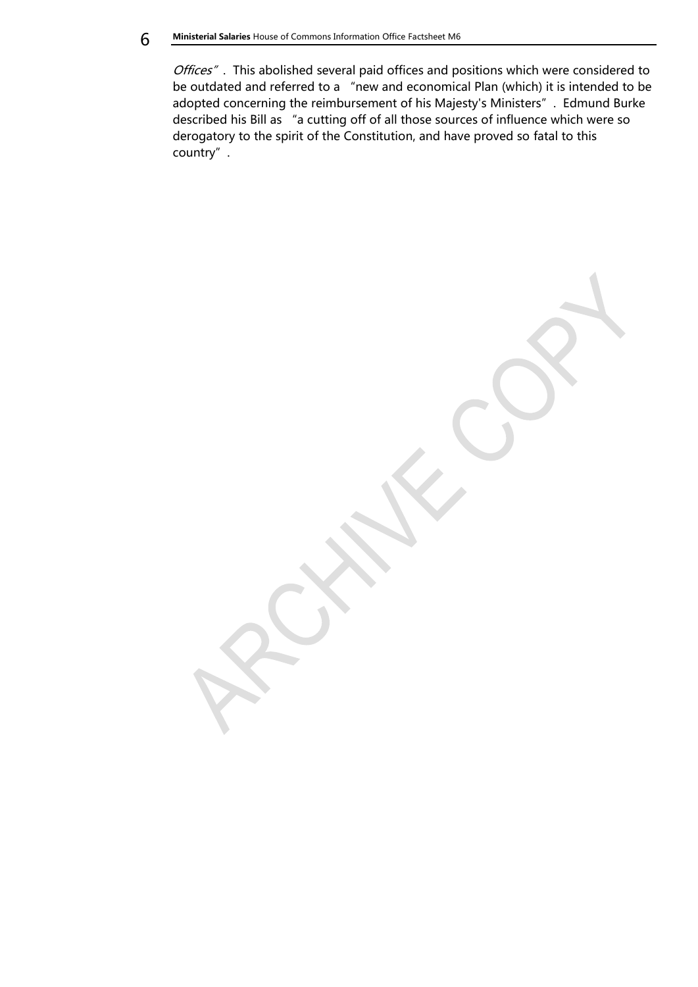**6** Ministerial Salaries House of Commons Information Office Factsheet M6

Offices". This abolished several paid offices and positions which were considered to be outdated and referred to a "new and economical Plan (which) it is intended to be adopted concerning the reimbursement of his Majesty's Ministers". Edmund Burke described his Bill as "a cutting off of all those sources of influence which were so derogatory to the spirit of the Constitution, and have proved so fatal to this country".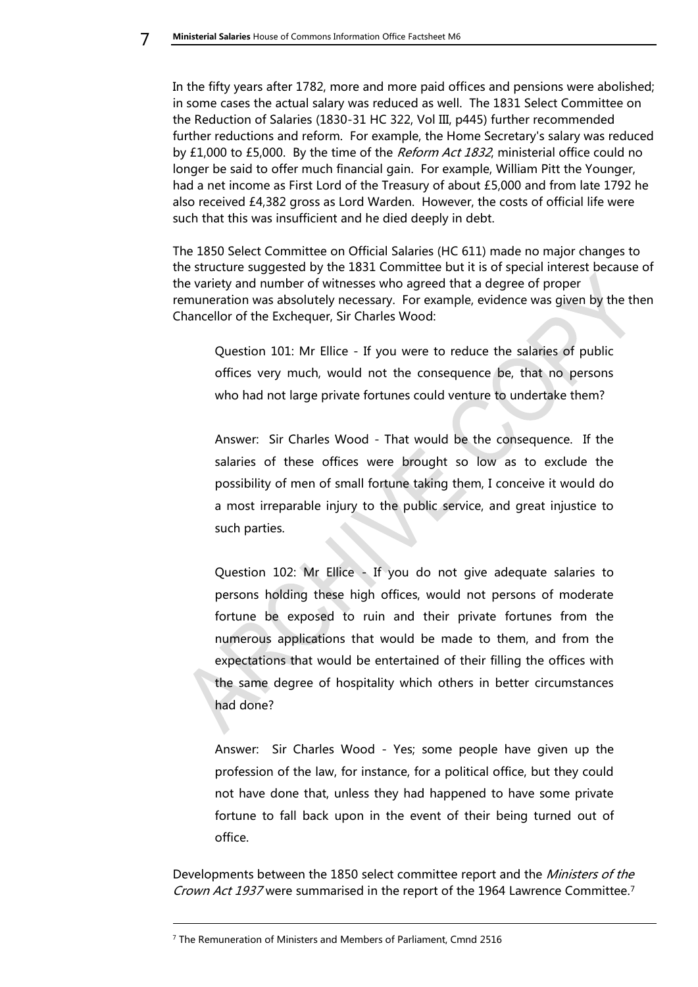In the fifty years after 1782, more and more paid offices and pensions were abolished; in some cases the actual salary was reduced as well. The 1831 Select Committee on the Reduction of Salaries (1830-31 HC 322, Vol III, p445) further recommended further reductions and reform. For example, the Home Secretary's salary was reduced by £1,000 to £5,000. By the time of the *Reform Act 1832*, ministerial office could no longer be said to offer much financial gain. For example, William Pitt the Younger, had a net income as First Lord of the Treasury of about £5,000 and from late 1792 he also received £4,382 gross as Lord Warden. However, the costs of official life were such that this was insufficient and he died deeply in debt.

The 1850 Select Committee on Official Salaries (HC 611) made no major changes to the structure suggested by the 1831 Committee but it is of special interest because of the variety and number of witnesses who agreed that a degree of proper remuneration was absolutely necessary. For example, evidence was given by the then Chancellor of the Exchequer, Sir Charles Wood:

Question 101: Mr Ellice - If you were to reduce the salaries of public offices very much, would not the consequence be, that no persons who had not large private fortunes could venture to undertake them?

Answer: Sir Charles Wood - That would be the consequence. If the salaries of these offices were brought so low as to exclude the possibility of men of small fortune taking them, I conceive it would do a most irreparable injury to the public service, and great injustice to such parties.

Question 102: Mr Ellice - If you do not give adequate salaries to persons holding these high offices, would not persons of moderate fortune be exposed to ruin and their private fortunes from the numerous applications that would be made to them, and from the expectations that would be entertained of their filling the offices with the same degree of hospitality which others in better circumstances had done?

Answer: Sir Charles Wood - Yes; some people have given up the profession of the law, for instance, for a political office, but they could not have done that, unless they had happened to have some private fortune to fall back upon in the event of their being turned out of office.

Developments between the 1850 select committee report and the *Ministers of the* Crown Act 1937 were summarised in the report of the 1964 Lawrence Committee.<sup>7</sup>

-

<sup>&</sup>lt;sup>7</sup> The Remuneration of Ministers and Members of Parliament, Cmnd 2516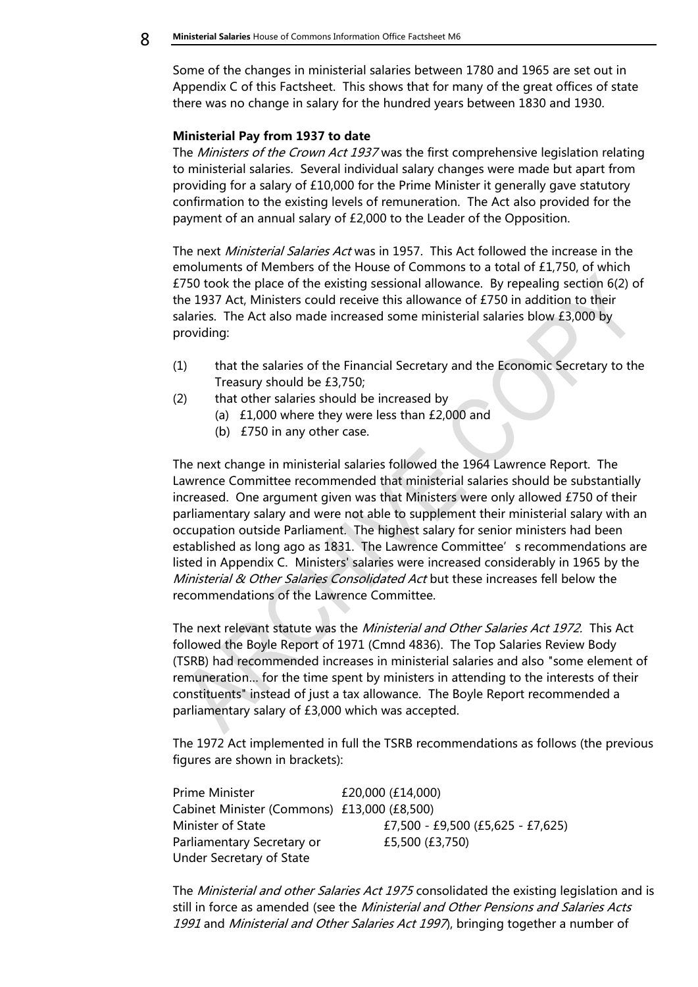Some of the changes in ministerial salaries between 1780 and 1965 are set out in Appendix C of this Factsheet. This shows that for many of the great offices of state there was no change in salary for the hundred years between 1830 and 1930.

#### <span id="page-7-0"></span>**Ministerial Pay from 1937 to date**

The Ministers of the Crown Act 1937 was the first comprehensive legislation relating to ministerial salaries. Several individual salary changes were made but apart from providing for a salary of £10,000 for the Prime Minister it generally gave statutory confirmation to the existing levels of remuneration. The Act also provided for the payment of an annual salary of £2,000 to the Leader of the Opposition.

The next Ministerial Salaries Act was in 1957. This Act followed the increase in the emoluments of Members of the House of Commons to a total of £1,750, of which £750 took the place of the existing sessional allowance. By repealing section 6(2) of the 1937 Act, Ministers could receive this allowance of £750 in addition to their salaries. The Act also made increased some ministerial salaries blow £3,000 by providing:

- (1) that the salaries of the Financial Secretary and the Economic Secretary to the Treasury should be £3,750;
- (2) that other salaries should be increased by
	- (a) £1,000 where they were less than £2,000 and
	- (b) £750 in any other case.

The next change in ministerial salaries followed the 1964 Lawrence Report. The Lawrence Committee recommended that ministerial salaries should be substantially increased. One argument given was that Ministers were only allowed £750 of their parliamentary salary and were not able to supplement their ministerial salary with an occupation outside Parliament. The highest salary for senior ministers had been established as long ago as 1831. The Lawrence Committee's recommendations are listed in Appendix C. Ministers' salaries were increased considerably in 1965 by the Ministerial & Other Salaries Consolidated Act but these increases fell below the recommendations of the Lawrence Committee.

The next relevant statute was the Ministerial and Other Salaries Act 1972. This Act followed the Boyle Report of 1971 (Cmnd 4836). The Top Salaries Review Body (TSRB) had recommended increases in ministerial salaries and also "some element of remuneration… for the time spent by ministers in attending to the interests of their constituents" instead of just a tax allowance. The Boyle Report recommended a parliamentary salary of £3,000 which was accepted.

The 1972 Act implemented in full the TSRB recommendations as follows (the previous figures are shown in brackets):

| Prime Minister                              | £20,000 (£14,000)                 |
|---------------------------------------------|-----------------------------------|
| Cabinet Minister (Commons) £13,000 (£8,500) |                                   |
| Minister of State                           | £7,500 - £9,500 (£5,625 - £7,625) |
| Parliamentary Secretary or                  | £5,500 (£3,750)                   |
| Under Secretary of State                    |                                   |

The *Ministerial and other Salaries Act 1975* consolidated the existing legislation and is still in force as amended (see the *Ministerial and Other Pensions and Salaries Acts* 1991 and Ministerial and Other Salaries Act 1997, bringing together a number of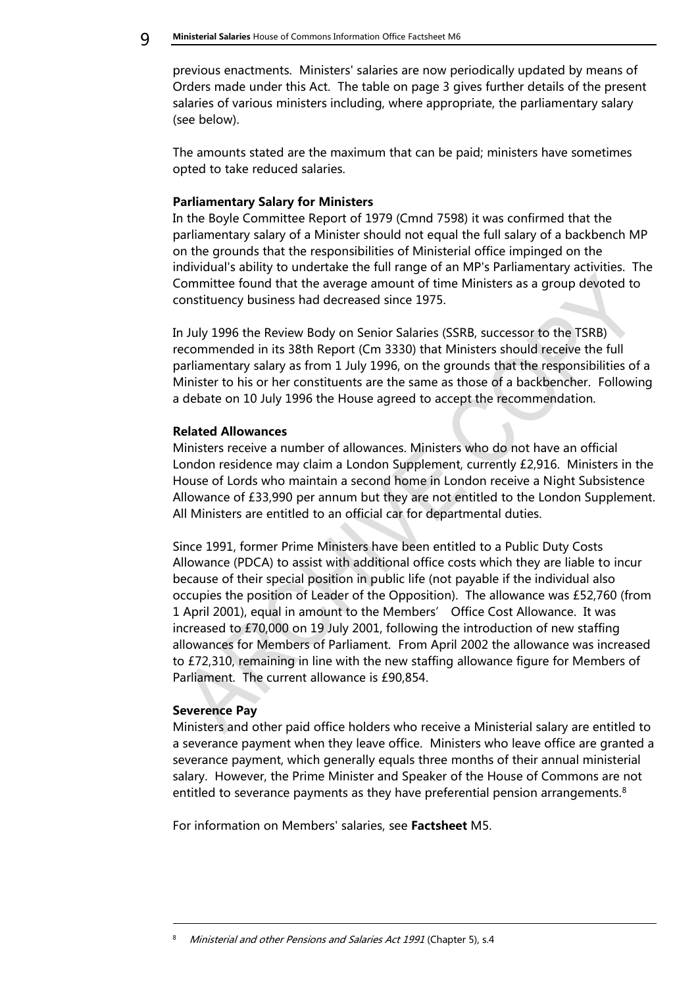previous enactments. Ministers' salaries are now periodically updated by means of Orders made under this Act. The table on page 3 gives further details of the present salaries of various ministers including, where appropriate, the parliamentary salary (see below).

The amounts stated are the maximum that can be paid; ministers have sometimes opted to take reduced salaries.

#### <span id="page-8-0"></span>**Parliamentary Salary for Ministers**

In the Boyle Committee Report of 1979 (Cmnd 7598) it was confirmed that the parliamentary salary of a Minister should not equal the full salary of a backbench MP on the grounds that the responsibilities of Ministerial office impinged on the individual's ability to undertake the full range of an MP's Parliamentary activities. The Committee found that the average amount of time Ministers as a group devoted to constituency business had decreased since 1975.

In July 1996 the Review Body on Senior Salaries (SSRB, successor to the TSRB) recommended in its 38th Report (Cm 3330) that Ministers should receive the full parliamentary salary as from 1 July 1996, on the grounds that the responsibilities of a Minister to his or her constituents are the same as those of a backbencher. Following a debate on 10 July 1996 the House agreed to accept the recommendation.

#### <span id="page-8-1"></span>**Related Allowances**

Ministers receive a number of allowances. Ministers who do not have an official London residence may claim a London Supplement, currently £2,916. Ministers in the House of Lords who maintain a second home in London receive a Night Subsistence Allowance of £33,990 per annum but they are not entitled to the London Supplement. All Ministers are entitled to an official car for departmental duties.

Since 1991, former Prime Ministers have been entitled to a Public Duty Costs Allowance (PDCA) to assist with additional office costs which they are liable to incur because of their special position in public life (not payable if the individual also occupies the position of Leader of the Opposition). The allowance was £52,760 (from 1 April 2001), equal in amount to the Members' Office Cost Allowance. It was increased to £70,000 on 19 July 2001, following the introduction of new staffing allowances for Members of Parliament. From April 2002 the allowance was increased to £72,310, remaining in line with the new staffing allowance figure for Members of Parliament. The current allowance is £90,854.

#### <span id="page-8-2"></span>**Severence Pay**

-

Ministers and other paid office holders who receive a Ministerial salary are entitled to a severance payment when they leave office. Ministers who leave office are granted a severance payment, which generally equals three months of their annual ministerial salary. However, the Prime Minister and Speaker of the House of Commons are not entitled to severance payments as they have preferential pension arrangements.<sup>8</sup>

For information on Members' salaries, see **Factsheet** M5.

Ministerial and other Pensions and Salaries Act 1991 (Chapter 5), s.4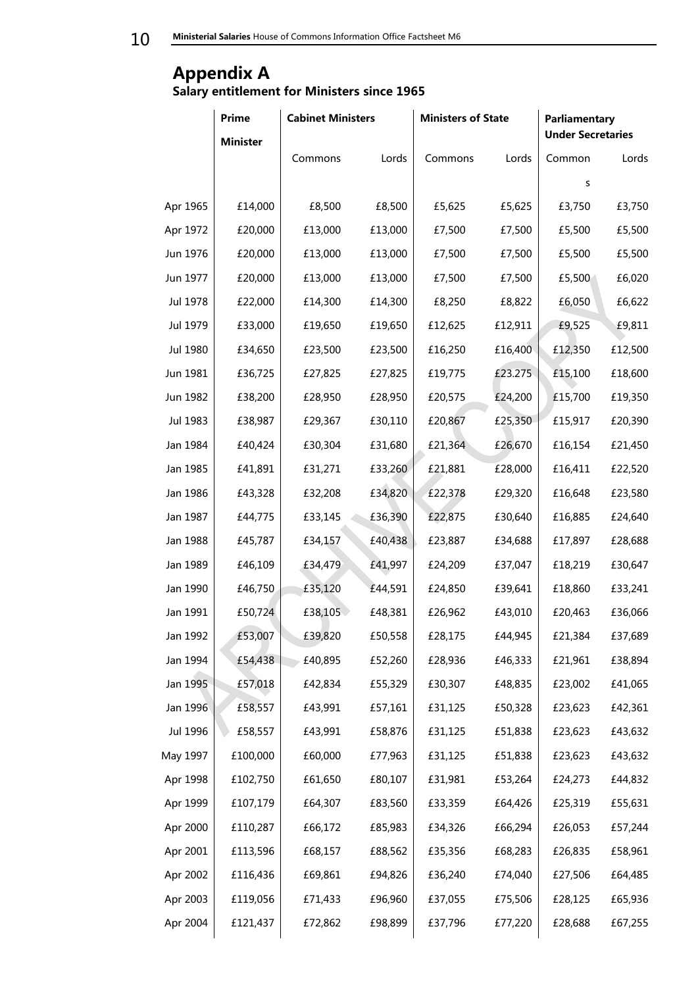10 Ministerial Salaries House of Commons Information Office Factsheet M6

## <span id="page-9-1"></span><span id="page-9-0"></span>**Appendix A Salary entitlement for Ministers since 1965**

|          | <b>Prime</b>    | <b>Cabinet Ministers</b> |         | <b>Ministers of State</b> |         | <b>Parliamentary</b><br><b>Under Secretaries</b> |         |
|----------|-----------------|--------------------------|---------|---------------------------|---------|--------------------------------------------------|---------|
|          | <b>Minister</b> |                          |         |                           |         |                                                  |         |
|          |                 | Commons                  | Lords   | Commons                   | Lords   | Common                                           | Lords   |
|          |                 |                          |         |                           |         | s                                                |         |
| Apr 1965 | £14,000         | £8,500                   | £8,500  | £5,625                    | £5,625  | £3,750                                           | £3,750  |
| Apr 1972 | £20,000         | £13,000                  | £13,000 | £7,500                    | £7,500  | £5,500                                           | £5,500  |
| Jun 1976 | £20,000         | £13,000                  | £13,000 | £7,500                    | £7,500  | £5,500                                           | £5,500  |
| Jun 1977 | £20,000         | £13,000                  | £13,000 | £7,500                    | £7,500  | £5,500                                           | £6,020  |
| Jul 1978 | £22,000         | £14,300                  | £14,300 | £8,250                    | £8,822  | £6,050                                           | £6,622  |
| Jul 1979 | £33,000         | £19,650                  | £19,650 | £12,625                   | £12,911 | £9,525                                           | £9,811  |
| Jul 1980 | £34,650         | £23,500                  | £23,500 | £16,250                   | £16,400 | £12,350                                          | £12,500 |
| Jun 1981 | £36,725         | £27,825                  | £27,825 | £19,775                   | £23.275 | £15,100                                          | £18,600 |
| Jun 1982 | £38,200         | £28,950                  | £28,950 | £20,575                   | £24,200 | £15,700                                          | £19,350 |
| Jul 1983 | £38,987         | £29,367                  | £30,110 | £20,867                   | £25,350 | £15,917                                          | £20,390 |
| Jan 1984 | £40,424         | £30,304                  | £31,680 | £21,364                   | £26,670 | £16,154                                          | £21,450 |
| Jan 1985 | £41,891         | £31,271                  | £33,260 | £21,881                   | £28,000 | £16,411                                          | £22,520 |
| Jan 1986 | £43,328         | £32,208                  | £34,820 | £22,378                   | £29,320 | £16,648                                          | £23,580 |
| Jan 1987 | £44,775         | £33,145                  | £36,390 | £22,875                   | £30,640 | £16,885                                          | £24,640 |
| Jan 1988 | £45,787         | £34,157                  | £40,438 | £23,887                   | £34,688 | £17,897                                          | £28,688 |
| Jan 1989 | £46,109         | £34,479                  | £41,997 | £24,209                   | £37,047 | £18,219                                          | £30,647 |
| Jan 1990 | £46,750         | £35,120                  | £44,591 | £24,850                   | £39,641 | £18,860                                          | £33,241 |
| Jan 1991 | £50,724         | £38,105                  | £48,381 | £26,962                   | £43,010 | £20,463                                          | £36,066 |
| Jan 1992 | £53,007         | £39,820                  | £50,558 | £28,175                   | £44,945 | £21,384                                          | £37,689 |
| Jan 1994 | £54,438         | £40,895                  | £52,260 | £28,936                   | £46,333 | £21,961                                          | £38,894 |
| Jan 1995 | £57,018         | £42,834                  | £55,329 | £30,307                   | £48,835 | £23,002                                          | £41,065 |
| Jan 1996 | £58,557         | £43,991                  | £57,161 | £31,125                   | £50,328 | £23,623                                          | £42,361 |
| Jul 1996 | £58,557         | £43,991                  | £58,876 | £31,125                   | £51,838 | £23,623                                          | £43,632 |
| May 1997 | £100,000        | £60,000                  | £77,963 | £31,125                   | £51,838 | £23,623                                          | £43,632 |
| Apr 1998 | £102,750        | £61,650                  | £80,107 | £31,981                   | £53,264 | £24,273                                          | £44,832 |
| Apr 1999 | £107,179        | £64,307                  | £83,560 | £33,359                   | £64,426 | £25,319                                          | £55,631 |
| Apr 2000 | £110,287        | £66,172                  | £85,983 | £34,326                   | £66,294 | £26,053                                          | £57,244 |
| Apr 2001 | £113,596        | £68,157                  | £88,562 | £35,356                   | £68,283 | £26,835                                          | £58,961 |
| Apr 2002 | £116,436        | £69,861                  | £94,826 | £36,240                   | £74,040 | £27,506                                          | £64,485 |
| Apr 2003 | £119,056        | £71,433                  | £96,960 | £37,055                   | £75,506 | £28,125                                          | £65,936 |
| Apr 2004 | £121,437        | £72,862                  | £98,899 | £37,796                   | £77,220 | £28,688                                          | £67,255 |
|          |                 |                          |         |                           |         |                                                  |         |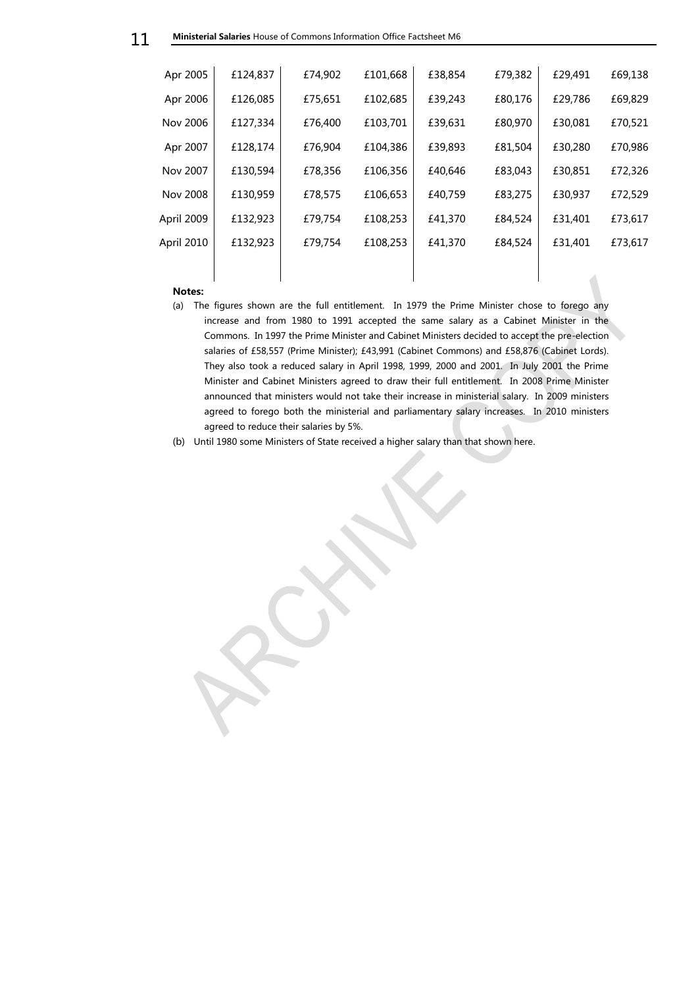| Apr 2005   | £124,837 | £74,902 | £101,668 | £38,854 | £79,382 | £29,491 | £69,138 |
|------------|----------|---------|----------|---------|---------|---------|---------|
| Apr 2006   | £126,085 | £75,651 | £102.685 | £39,243 | £80,176 | £29,786 | £69,829 |
| Nov 2006   | £127,334 | £76,400 | £103,701 | £39,631 | £80,970 | £30,081 | £70,521 |
| Apr 2007   | £128,174 | £76,904 | £104,386 | £39,893 | £81,504 | £30,280 | £70,986 |
| Nov 2007   | £130,594 | £78,356 | £106,356 | £40,646 | £83,043 | £30,851 | £72,326 |
| Nov 2008   | £130,959 | £78,575 | £106,653 | £40,759 | £83,275 | £30,937 | £72,529 |
| April 2009 | £132,923 | £79,754 | £108,253 | £41,370 | £84,524 | £31,401 | £73,617 |
| April 2010 | £132,923 | £79,754 | £108,253 | £41,370 | £84,524 | £31,401 | £73,617 |
|            |          |         |          |         |         |         |         |

#### **Notes:**

- (a) The figures shown are the full entitlement. In 1979 the Prime Minister chose to forego any increase and from 1980 to 1991 accepted the same salary as a Cabinet Minister in the Commons. In 1997 the Prime Minister and Cabinet Ministers decided to accept the pre-election salaries of £58,557 (Prime Minister); £43,991 (Cabinet Commons) and £58,876 (Cabinet Lords). They also took a reduced salary in April 1998, 1999, 2000 and 2001. In July 2001 the Prime Minister and Cabinet Ministers agreed to draw their full entitlement. In 2008 Prime Minister announced that ministers would not take their increase in ministerial salary. In 2009 ministers agreed to forego both the ministerial and parliamentary salary increases. In 2010 ministers agreed to reduce their salaries by 5%.
- (b) Until 1980 some Ministers of State received a higher salary than that shown here.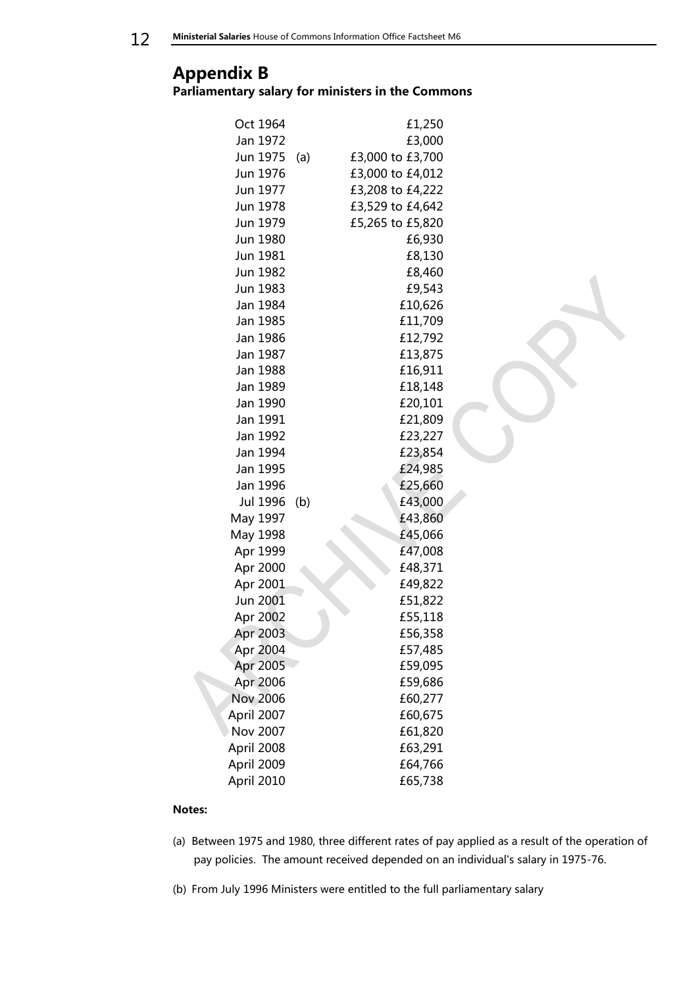**12** Ministerial Salaries House of Commons Information Office Factsheet M6

# <span id="page-11-1"></span><span id="page-11-0"></span>**Appendix B Parliamentary salary for ministers in the Commons**

| Oct 1964        |     | £1,250           |
|-----------------|-----|------------------|
| Jan 1972        |     | £3,000           |
| Jun 1975        | (a) | £3,000 to £3,700 |
| Jun 1976        |     | £3,000 to £4,012 |
| Jun 1977        |     | £3,208 to £4,222 |
| Jun 1978        |     | £3,529 to £4,642 |
| Jun 1979        |     | £5,265 to £5,820 |
| Jun 1980        |     | £6,930           |
| Jun 1981        |     | £8,130           |
| Jun 1982        |     | £8,460           |
| Jun 1983        |     | £9,543           |
| Jan 1984        |     | £10,626          |
| Jan 1985        |     | £11,709          |
| Jan 1986        |     | £12,792          |
| Jan 1987        |     | £13,875          |
| Jan 1988        |     | £16,911          |
| Jan 1989        |     | £18,148          |
| Jan 1990        |     | £20,101          |
| Jan 1991        |     | £21,809          |
| Jan 1992        |     | £23,227          |
| Jan 1994        |     | £23,854          |
| Jan 1995        |     | £24,985          |
| Jan 1996        |     | £25,660          |
| Jul 1996        | (b) | £43,000          |
| May 1997        |     | £43,860          |
| May 1998        |     | £45,066          |
| Apr 1999        |     | £47,008          |
| Apr 2000        |     | £48,371          |
| Apr 2001        |     | £49,822          |
| Jun 2001        |     | £51,822          |
| Apr 2002        |     | £55,118          |
| Apr 2003        |     | £56,358          |
| Apr 2004        |     | £57,485          |
| Apr 2005        |     | £59,095          |
| Apr 2006        |     | £59,686          |
| <b>Nov 2006</b> |     | £60,277          |
| April 2007      |     | £60,675          |
| Nov 2007        |     | £61,820          |
| April 2008      |     | £63,291          |
| April 2009      |     | £64,766          |
| April 2010      |     | £65,738          |

#### **Notes:**

- (a) Between 1975 and 1980, three different rates of pay applied as a result of the operation of pay policies. The amount received depended on an individual's salary in 1975-76.
- (b) From July 1996 Ministers were entitled to the full parliamentary salary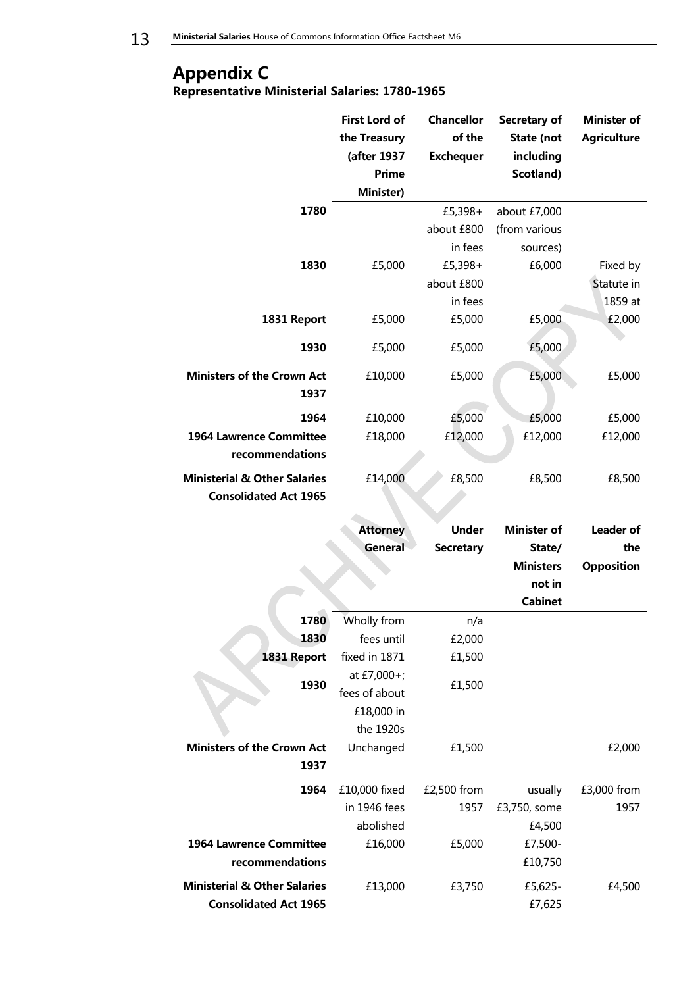# <span id="page-12-0"></span>**Appendix C**

<span id="page-12-1"></span>**Representative Ministerial Salaries: 1780-1965**

|                                                                         | <b>First Lord of</b><br>the Treasury<br>(after 1937<br><b>Prime</b> | Chancellor<br>of the<br><b>Exchequer</b> | Secretary of<br>State (not<br>including<br>Scotland) | <b>Minister of</b><br><b>Agriculture</b> |
|-------------------------------------------------------------------------|---------------------------------------------------------------------|------------------------------------------|------------------------------------------------------|------------------------------------------|
|                                                                         | Minister)                                                           |                                          |                                                      |                                          |
| 1780                                                                    |                                                                     | £5,398+                                  | about £7,000                                         |                                          |
|                                                                         |                                                                     | about £800                               | (from various                                        |                                          |
|                                                                         |                                                                     | in fees                                  | sources)                                             |                                          |
| 1830                                                                    | £5,000                                                              | £5,398+                                  | £6,000                                               | Fixed by                                 |
|                                                                         |                                                                     | about £800                               |                                                      | Statute in                               |
|                                                                         |                                                                     | in fees                                  |                                                      | 1859 at                                  |
| 1831 Report                                                             | £5,000                                                              | £5,000                                   | £5,000                                               | £2,000                                   |
| 1930                                                                    | £5,000                                                              | £5,000                                   | £5,000                                               |                                          |
| <b>Ministers of the Crown Act</b><br>1937                               | £10,000                                                             | £5,000                                   | £5,000                                               | £5,000                                   |
| 1964                                                                    | £10,000                                                             | £5,000                                   | £5,000                                               | £5,000                                   |
| <b>1964 Lawrence Committee</b>                                          | £18,000                                                             | £12,000                                  | £12,000                                              | £12,000                                  |
| recommendations                                                         |                                                                     |                                          |                                                      |                                          |
| <b>Ministerial &amp; Other Salaries</b><br><b>Consolidated Act 1965</b> | £14,000                                                             | £8,500                                   | £8,500                                               | £8,500                                   |
|                                                                         |                                                                     |                                          |                                                      |                                          |
|                                                                         | <b>Attorney</b>                                                     | <b>Under</b>                             | <b>Minister of</b>                                   | <b>Leader of</b>                         |
|                                                                         | General                                                             | <b>Secretary</b>                         | State/                                               | the                                      |
|                                                                         |                                                                     |                                          | <b>Ministers</b>                                     | <b>Opposition</b>                        |
|                                                                         |                                                                     |                                          | not in                                               |                                          |
|                                                                         |                                                                     |                                          | <b>Cabinet</b>                                       |                                          |
| 1780                                                                    | Wholly from                                                         | n/a                                      |                                                      |                                          |
| 1830                                                                    | fees until                                                          | £2,000                                   |                                                      |                                          |
| 1831 Report                                                             | fixed in 1871                                                       | £1,500                                   |                                                      |                                          |
|                                                                         | at £7,000+;                                                         |                                          |                                                      |                                          |
| 1930                                                                    | fees of about                                                       | £1,500                                   |                                                      |                                          |
|                                                                         | £18,000 in                                                          |                                          |                                                      |                                          |
|                                                                         | the 1920s                                                           |                                          |                                                      |                                          |
| <b>Ministers of the Crown Act</b><br>1937                               | Unchanged                                                           | £1,500                                   |                                                      | £2,000                                   |
| 1964                                                                    | £10,000 fixed                                                       | £2,500 from                              | usually                                              | £3,000 from                              |
|                                                                         | in 1946 fees                                                        | 1957                                     | £3,750, some                                         | 1957                                     |
|                                                                         | abolished                                                           |                                          | £4,500                                               |                                          |
| <b>1964 Lawrence Committee</b>                                          | £16,000                                                             | £5,000                                   | £7,500-                                              |                                          |
| recommendations                                                         |                                                                     |                                          | £10,750                                              |                                          |
| <b>Ministerial &amp; Other Salaries</b>                                 | £13,000                                                             | £3,750                                   | £5,625-                                              | £4,500                                   |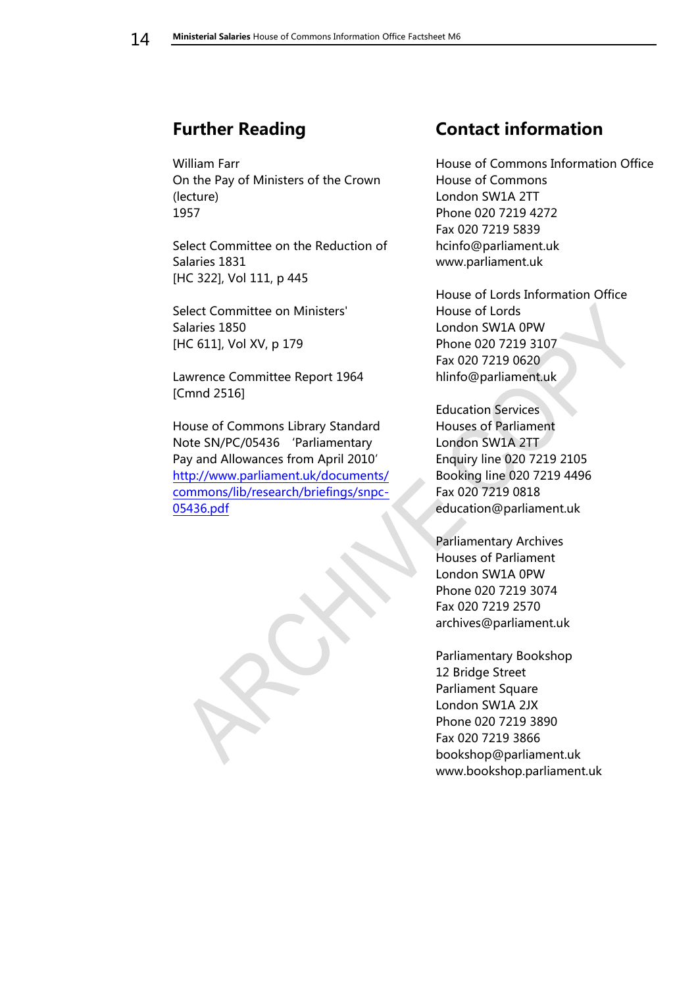# <span id="page-13-0"></span>**Further Reading**

William Farr On the Pay of Ministers of the Crown (lecture) 1957

Select Committee on the Reduction of Salaries 1831 [HC 322], Vol 111, p 445

Select Committee on Ministers' Salaries 1850 [HC 611], Vol XV, p 179

Lawrence Committee Report 1964 [Cmnd 2516]

House of Commons Library Standard Note SN/PC/05436 'Parliamentary Pay and Allowances from April 2010' [http://www.parliament.uk/documents/](http://www.parliament.uk/documents/commons/lib/research/briefings/snpc-05436.pdf) [commons/lib/research/briefings/snpc-](http://www.parliament.uk/documents/commons/lib/research/briefings/snpc-05436.pdf)[05436.pdf](http://www.parliament.uk/documents/commons/lib/research/briefings/snpc-05436.pdf)

# <span id="page-13-1"></span>**Contact information**

House of Commons Information Office House of Commons London SW1A 2TT Phone 020 7219 4272 Fax 020 7219 5839 hcinfo@parliament.uk www.parliament.uk

House of Lords Information Office House of Lords London SW1A 0PW Phone 020 7219 3107 Fax 020 7219 0620 hlinfo@parliament.uk

Education Services Houses of Parliament London SW1A 2TT Enquiry line 020 7219 2105 Booking line 020 7219 4496 Fax 020 7219 0818 education@parliament.uk

Parliamentary Archives Houses of Parliament London SW1A 0PW Phone 020 7219 3074 Fax 020 7219 2570 archives@parliament.uk

Parliamentary Bookshop 12 Bridge Street Parliament Square London SW1A 2JX Phone 020 7219 3890 Fax 020 7219 3866 bookshop@parliament.uk www.bookshop.parliament.uk